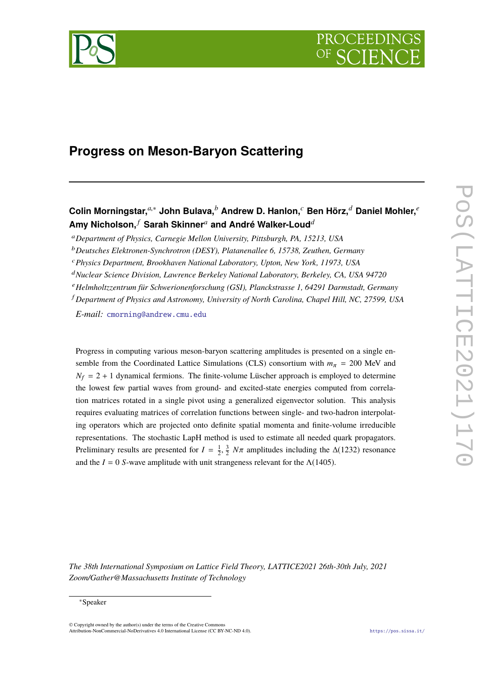

# **Progress on Meson-Baryon Scattering**

## **Colin Morningstar,***a*,<sup>∗</sup> **John Bulava,***<sup>b</sup>* **Andrew D. Hanlon,***<sup>c</sup>* **Ben Hörz,***<sup>d</sup>* **Daniel Mohler,***<sup>e</sup>* **Amy Nicholson,** *<sup>f</sup>* **Sarah Skinner***<sup>a</sup>* **and André Walker-Loud***<sup>d</sup>*

<sup>a</sup>*Department of Physics, Carnegie Mellon University, Pittsburgh, PA, 15213, USA*

<sup>b</sup>*Deutsches Elektronen-Synchrotron (DESY), Platanenallee 6, 15738, Zeuthen, Germany*

<sup>c</sup>*Physics Department, Brookhaven National Laboratory, Upton, New York, 11973, USA*

<sup>d</sup>*Nuclear Science Division, Lawrence Berkeley National Laboratory, Berkeley, CA, USA 94720*

<sup>e</sup>*Helmholtzzentrum für Schwerionenforschung (GSI), Planckstrasse 1, 64291 Darmstadt, Germany*

<sup>f</sup> *Department of Physics and Astronomy, University of North Carolina, Chapel Hill, NC, 27599, USA*

*E-mail:* [cmorning@andrew.cmu.edu](mailto:cmorning@andrew.cmu.edu)

Progress in computing various meson-baryon scattering amplitudes is presented on a single ensemble from the Coordinated Lattice Simulations (CLS) consortium with  $m_\pi$  = 200 MeV and  $N_f = 2 + 1$  dynamical fermions. The finite-volume Lüscher approach is employed to determine the lowest few partial waves from ground- and excited-state energies computed from correlation matrices rotated in a single pivot using a generalized eigenvector solution. This analysis requires evaluating matrices of correlation functions between single- and two-hadron interpolating operators which are projected onto definite spatial momenta and finite-volume irreducible representations. The stochastic LapH method is used to estimate all needed quark propagators. Preliminary results are presented for  $I = \frac{1}{2}, \frac{3}{2} N\pi$  amplitudes including the ∆(1232) resonance and the  $I = 0$  *S*-wave amplitude with unit strangeness relevant for the Λ(1405).

*The 38th International Symposium on Lattice Field Theory, LATTICE2021 26th-30th July, 2021 Zoom/Gather@Massachusetts Institute of Technology*

#### ∗Speaker

 $\odot$  Copyright owned by the author(s) under the terms of the Creative Common Attribution-NonCommercial-NoDerivatives 4.0 International License (CC BY-NC-ND 4.0). <https://pos.sissa.it/>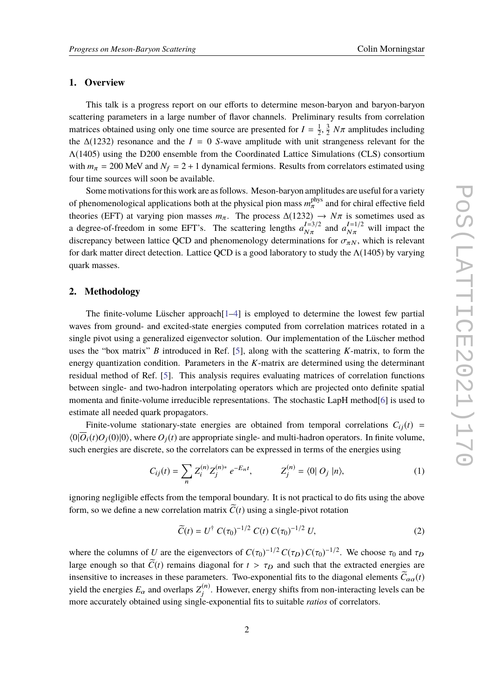#### **1. Overview**

This talk is a progress report on our efforts to determine meson-baryon and baryon-baryon scattering parameters in a large number of flavor channels. Preliminary results from correlation matrices obtained using only one time source are presented for  $I = \frac{1}{2}$  $\overline{2}$ the  $\Delta(1232)$  resonance and the *I* = 0 *S*-wave amplitude with unit strangeness relevant for the 3  $\frac{3}{2}$  *N* $\pi$  amplitudes including Λ(1405) using the D200 ensemble from the Coordinated Lattice Simulations (CLS) consortium with  $m_{\pi} = 200$  MeV and  $N_f = 2 + 1$  dynamical fermions. Results from correlators estimated using four time sources will soon be available.

Some motivations for this work are as follows. Meson-baryon amplitudes are useful for a variety of phenomenological applications both at the physical pion mass  $m_{\pi}^{\text{phys}}$  and for chiral effective field<br>there is a property of property of the physical pion mass  $m_{\pi}^{\text{phys}}$  and for chiral effective field theories (EFT) at varying pion masses  $m_\pi$ . The process  $\Delta(1232) \rightarrow N\pi$  is sometimes used as a degree-of-freedom in some EFT's. The scattering lengths  $a_{N\pi}^{I=3/2}$  $N\pi$ and  $a_{N\pi}^{I=1/2}$  will impact the discrepancy between lattice QCD and phenomenology determinations for  $\sigma_{\pi N}$ , which is relevant for dark matter direct detection. Lattice QCD is a good laboratory to study the  $\Lambda(1405)$  by varying quark masses.

#### **2. Methodology**

The finite-volume Lüscher approach<sup>[\[1](#page-7-0)[–4\]](#page-7-1)</sup> is employed to determine the lowest few partial waves from ground- and excited-state energies computed from correlation matrices rotated in a single pivot using a generalized eigenvector solution. Our implementation of the Lüscher method uses the "box matrix" *B* introduced in Ref. [\[5\]](#page-8-0), along with the scattering *K*-matrix, to form the energy quantization condition. Parameters in the *K*-matrix are determined using the determinant residual method of Ref. [\[5\]](#page-8-0). This analysis requires evaluating matrices of correlation functions between single- and two-hadron interpolating operators which are projected onto definite spatial momenta and finite-volume irreducible representations. The stochastic LapH method[\[6\]](#page-8-1) is used to estimate all needed quark propagators.

Finite-volume stationary-state energies are obtained from temporal correlations  $C_{ij}(t)$  =  $\langle 0|\overline{O}_i(t)O_i(0)|0\rangle$ , where  $O_i(t)$  are appropriate single- and multi-hadron operators. In finite volume, such energies are discrete, so the correlators can be expressed in terms of the energies using

$$
C_{ij}(t) = \sum_{n} Z_{i}^{(n)} Z_{j}^{(n)*} e^{-E_{n}t}, \qquad Z_{j}^{(n)} = \langle 0 | O_{j} | n \rangle, \tag{1}
$$

ignoring negligible effects from the temporal boundary. It is not practical to do fits using the above form, so we define a new correlation matrix  $\tilde{C}(t)$  using a single-pivot rotation

$$
\widetilde{C}(t) = U^{\dagger} C(\tau_0)^{-1/2} C(t) C(\tau_0)^{-1/2} U,
$$
\n(2)

where the columns of *U* are the eigenvectors of  $C(\tau_0)^{-1/2} C(\tau_D) C(\tau_0)^{-1/2}$ . We choose  $\tau_0$  and  $\tau_D$ large enough so that  $\tilde{C}(t)$  remains diagonal for  $t > \tau_D$  and such that the extracted energies are insensitive to increases in these parameters. Two-exponential fits to the diagonal elements  $\tilde{C}_{\alpha\alpha}(t)$ yield the energies  $E_{\alpha}$  and overlaps  $Z_j^{(n)}$  $j^{(n)}$ . However, energy shifts from non-interacting levels can be more accurately obtained using single-exponential fits to suitable *ratios* of correlators.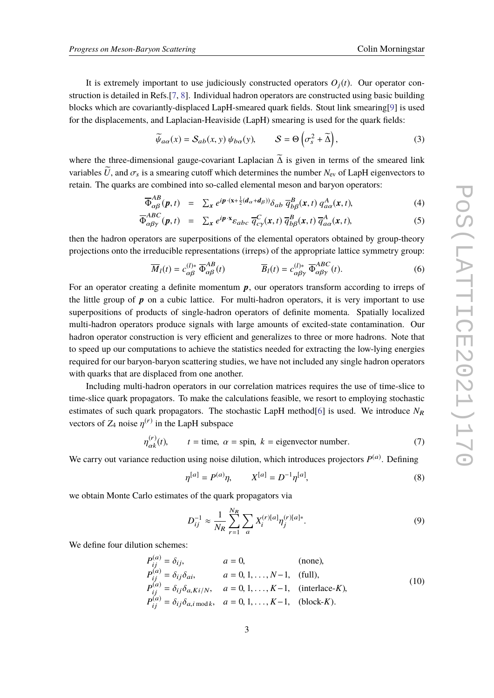It is extremely important to use judiciously constructed operators  $O_i(t)$ . Our operator construction is detailed in Refs.[\[7,](#page-8-2) [8\]](#page-8-3). Individual hadron operators are constructed using basic building blocks which are covariantly-displaced LapH-smeared quark fields. Stout link smearing[\[9\]](#page-8-4) is used for the displacements, and Laplacian-Heaviside (LapH) smearing is used for the quark fields:

$$
\widetilde{\psi}_{a\alpha}(x) = S_{ab}(x, y) \psi_{b\alpha}(y), \qquad S = \Theta\left(\sigma_s^2 + \widetilde{\Delta}\right), \tag{3}
$$

where the three-dimensional gauge-covariant Laplacian  $\widetilde{\Delta}$  is given in terms of the smeared link variables  $\tilde{U}$ , and  $\sigma_s$  is a smearing cutoff which determines the number  $N_{ev}$  of LapH eigenvectors to retain. The quarks are combined into so-called elemental meson and baryon operators:

$$
\overline{\Phi}_{\alpha\beta}^{AB}(\boldsymbol{p},t) = \sum_{\mathbf{x}} e^{i\boldsymbol{p}\cdot(\mathbf{x}+\frac{1}{2}(d_{\alpha}+d_{\beta}))} \delta_{ab} \, \overline{q}_{b\beta}^{B}(\mathbf{x},t) \, q_{a\alpha}^{A}(\mathbf{x},t), \tag{4}
$$

$$
\overline{\Phi}_{\alpha\beta\gamma}^{ABC}(\boldsymbol{p},t) = \sum_{\mathbf{x}} e^{i\boldsymbol{p}\cdot\mathbf{x}} \varepsilon_{abc} \overline{q}_{c\gamma}^C(\mathbf{x},t) \overline{q}_{b\beta}^B(\mathbf{x},t) \overline{q}_{a\alpha}^A(\mathbf{x},t), \tag{5}
$$

then the hadron operators are superpositions of the elemental operators obtained by group-theory projections onto the irreducible representations (irreps) of the appropriate lattice symmetry group:

$$
\overline{M}_l(t) = c_{\alpha\beta}^{(l)*} \overline{\Phi}_{\alpha\beta}^{AB}(t) \qquad \overline{B}_l(t) = c_{\alpha\beta\gamma}^{(l)*} \overline{\Phi}_{\alpha\beta\gamma}^{ABC}(t). \qquad (6)
$$

For an operator creating a definite momentum  $p$ , our operators transform according to irreps of the little group of  $p$  on a cubic lattice. For multi-hadron operators, it is very important to use superpositions of products of single-hadron operators of definite momenta. Spatially localized multi-hadron operators produce signals with large amounts of excited-state contamination. Our hadron operator construction is very efficient and generalizes to three or more hadrons. Note that to speed up our computations to achieve the statistics needed for extracting the low-lying energies required for our baryon-baryon scattering studies, we have not included any single hadron operators with quarks that are displaced from one another.

Including multi-hadron operators in our correlation matrices requires the use of time-slice to time-slice quark propagators. To make the calculations feasible, we resort to employing stochastic estimates of such quark propagators. The stochastic LapH method<sup>[\[6\]](#page-8-1)</sup> is used. We introduce  $N_R$ vectors of  $Z_4$  noise  $\eta^{(r)}$  in the LapH subspace

$$
\eta_{\alpha k}^{(r)}(t), \qquad t = \text{time}, \ \alpha = \text{spin}, \ k = \text{eigenvector number.} \tag{7}
$$

We carry out variance reduction using noise dilution, which introduces projectors  $P^{(a)}$ . Defining

$$
\eta^{[a]} = P^{(a)}\eta, \qquad X^{[a]} = D^{-1}\eta^{[a]}, \tag{8}
$$

we obtain Monte Carlo estimates of the quark propagators via

$$
D_{ij}^{-1} \approx \frac{1}{N_R} \sum_{r=1}^{N_R} \sum_{a} X_i^{(r)[a]} \eta_j^{(r)[a]*}.
$$
 (9)

We define four dilution schemes:

$$
P_{ij}^{(a)} = \delta_{ij}, \t a = 0, \t (none),
$$
  
\n
$$
P_{ij}^{(a)} = \delta_{ij}\delta_{ai}, \t a = 0, 1, ..., N-1, \t (full),
$$
  
\n
$$
P_{ij}^{(a)} = \delta_{ij}\delta_{a,Ki/N}, \t a = 0, 1, ..., K-1, \t (interlace-K),
$$
  
\n
$$
P_{ij}^{(a)} = \delta_{ij}\delta_{a,i \mod k}, \t a = 0, 1, ..., K-1, \t (block-K).
$$
\n(10)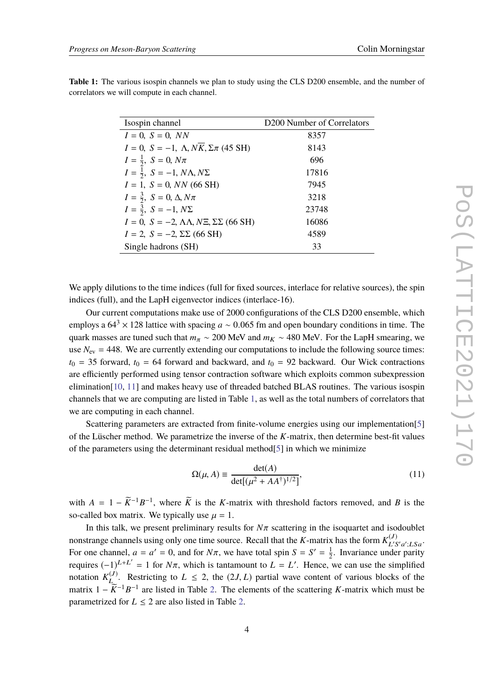<span id="page-3-0"></span>

| <b>Table 1:</b> The various isospin channels we plan to study using the CLS D200 ensemble, and the number of |  |
|--------------------------------------------------------------------------------------------------------------|--|
| correlators we will compute in each channel.                                                                 |  |
|                                                                                                              |  |
|                                                                                                              |  |
|                                                                                                              |  |

| Isospin channel                                                         | D <sub>200</sub> Number of Correlators |  |
|-------------------------------------------------------------------------|----------------------------------------|--|
| $I = 0$ , $S = 0$ , NN                                                  | 8357                                   |  |
| $I = 0$ , $S = -1$ , $\Lambda$ , $N\overline{K}$ , $\Sigma \pi$ (45 SH) | 8143                                   |  |
| $I = \frac{1}{2}$ , $S = 0$ , $N\pi$                                    | 696                                    |  |
| $I=\frac{1}{2}, S=-1, N\Lambda, N\Sigma$                                | 17816                                  |  |
| $I = 1$ , $S = 0$ , NN (66 SH)                                          | 7945                                   |  |
| $I = \frac{3}{2}, S = 0, \Delta, N\pi$                                  | 3218                                   |  |
| $I = \frac{3}{2}, S = -1, N\Sigma$                                      | 23748                                  |  |
| $I = 0$ , $S = -2$ , $\Lambda\Lambda$ , $N\Xi$ , $\Sigma\Sigma$ (66 SH) | 16086                                  |  |
| $I = 2$ , $S = -2$ , $\Sigma \Sigma$ (66 SH)                            | 4589                                   |  |
| Single hadrons (SH)                                                     | 33                                     |  |

We apply dilutions to the time indices (full for fixed sources, interlace for relative sources), the spin indices (full), and the LapH eigenvector indices (interlace-16).

Our current computations make use of 2000 configurations of the CLS D200 ensemble, which employs a  $64^3 \times 128$  lattice with spacing *a* ~ 0.065 fm and open boundary conditions in time. The quark masses are tuned such that  $m_\pi \sim 200$  MeV and  $m_K \sim 480$  MeV. For the LapH smearing, we use  $N_{\text{ev}} = 448$ . We are currently extending our computations to include the following source times:  $t_0$  = 35 forward,  $t_0$  = 64 forward and backward, and  $t_0$  = 92 backward. Our Wick contractions are efficiently performed using tensor contraction software which exploits common subexpression elimination[\[10,](#page-8-5) [11\]](#page-8-6) and makes heavy use of threaded batched BLAS routines. The various isospin channels that we are computing are listed in Table [1,](#page-3-0) as well as the total numbers of correlators that we are computing in each channel.

Scattering parameters are extracted from finite-volume energies using our implementation[\[5\]](#page-8-0) of the Lüscher method. We parametrize the inverse of the *K*-matrix, then determine best-fit values of the parameters using the determinant residual method[\[5\]](#page-8-0) in which we minimize

$$
\Omega(\mu, A) \equiv \frac{\det(A)}{\det[(\mu^2 + AA^{\dagger})^{1/2}]},\tag{11}
$$

with  $A = 1 - \widetilde{K}^{-1}B^{-1}$ , where  $\widetilde{K}$  is the *K*-matrix with threshold factors removed, and *B* is the so-called box matrix. We typically use  $\mu = 1$ .

In this talk, we present preliminary results for  $N\pi$  scattering in the isoquartet and isodoublet nonstrange channels using only one time source. Recall that the *K*-matrix has the form  $K_{IJ}^{(J)}$ ·(J)<br>L'S′a′;LSa For one channel,  $a = a' = 0$ , and for  $N\pi$ , we have total spin  $S = S' = \frac{1}{2}$ <br>meaning (1)  $k + L' = 1$  for  $N\pi$ , which is tantament to  $L = L'$ . Hence,  $\frac{1}{2}$ . Invariance under parity requires  $(-1)^{L+L'} = 1$  for  $N\pi$ , which is tantamount to  $L = L'$ . Hence, we can use the simplified notation  $K_I^{(J)}$ L<sup>(*J*)</sup>. Restricting to  $L \le 2$ , the  $(2J, L)$  partial wave content of various blocks of the  $\widetilde{K}^{-1}P^{-1}$  are listed in Table 2. The algorithm of the explicition K matrix which must be matrix  $1 - \widetilde{K}^{-1}B^{-1}$  are listed in Table [2.](#page-4-0) The elements of the scattering *K*-matrix which must be parametrized for  $L \leq 2$  are also listed in Table [2.](#page-4-0)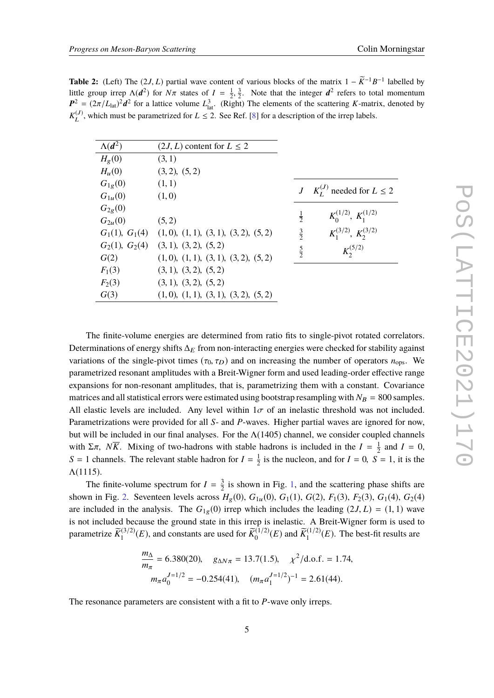<span id="page-4-0"></span>**Table 2:** (Left) The (2*J*, *L*) partial wave content of various blocks of the matrix  $1 - \widetilde{K}^{-1}B^{-1}$  labelled by<br>little group irror  $\Lambda(d^2)$  for  $N\pi$  states of  $I = \frac{1}{3}$ . Note that the integer  $d^2$  refers to tate little group irrep  $\Lambda(d^2)$  for  $N\pi$  states of  $I = \frac{1}{2}, \frac{3}{2}$ . Note that the integer  $d^2$  refers to total momentum  $R^2 = (2\pi/I)^{2}d^2$  for a letting volume  $I^3$ . (Bight) The elements of the conttaine K metrix denote  $P^2 = (2\pi/L_{\text{lat}})^2 d^2$  for a lattice volume  $L_{\text{lat}}^3$ . (Right) The elements of the scattering *K*-matrix, denoted by  $K_I^{(J)}$  $L^{(J)}$ , which must be parametrized for  $L \le 2$ . See Ref. [\[8\]](#page-8-3) for a description of the irrep labels.

| $\Lambda(d^2)$ | $(2J, L)$ content for $L \le 2$                      |               |                                        |
|----------------|------------------------------------------------------|---------------|----------------------------------------|
| $H_{g}(0)$     | (3, 1)                                               |               |                                        |
| $H_u(0)$       | (3,2), (5,2)                                         |               |                                        |
| $G_{1g}(0)$    | (1, 1)                                               |               |                                        |
| $G_{1u}(0)$    | (1,0)                                                |               | $J \, K_I^{(J)}$ needed for $L \leq 2$ |
| $G_{2g}(0)$    |                                                      |               |                                        |
| $G_{2u}(0)$    | (5, 2)                                               | $\frac{1}{2}$ | $K_0^{(1/2)}$ , $K_1^{(1/2)}$          |
|                | $G_1(1), G_1(4)$ $(1,0), (1,1), (3,1), (3,2), (5,2)$ | $rac{3}{2}$   | $K_1^{(3/2)}$ , $K_2^{(3/2)}$          |
|                | $G_2(1), G_2(4)$ (3, 1), (3, 2), (5, 2)              | $rac{5}{2}$   | $K_2^{(5/2)}$                          |
| G(2)           | (1,0), (1,1), (3,1), (3,2), (5,2)                    |               |                                        |
| $F_1(3)$       | (3, 1), (3, 2), (5, 2)                               |               |                                        |
| $F_2(3)$       | (3, 1), (3, 2), (5, 2)                               |               |                                        |
| G(3)           | (1,0), (1,1), (3,1), (3,2), (5,2)                    |               |                                        |
|                |                                                      |               |                                        |

The finite-volume energies are determined from ratio fits to single-pivot rotated correlators. Determinations of energy shifts  $\Delta_E$  from non-interacting energies were checked for stability against variations of the single-pivot times  $(\tau_0, \tau_D)$  and on increasing the number of operators  $n_{\text{ops}}$ . We parametrized resonant amplitudes with a Breit-Wigner form and used leading-order effective range expansions for non-resonant amplitudes, that is, parametrizing them with a constant. Covariance matrices and all statistical errors were estimated using bootstrap resampling with  $N_B = 800$  samples. All elastic levels are included. Any level within  $1\sigma$  of an inelastic threshold was not included. Parametrizations were provided for all *S*- and *P*-waves. Higher partial waves are ignored for now, but will be included in our final analyses. For the  $\Lambda(1405)$  channel, we consider coupled channels with  $\Sigma \pi$ ,  $N\overline{K}$ . Mixing of two-hadrons with stable hadrons is included in the  $I = \frac{1}{2}$ <br>S = 1 shample. The relevant stable hadron for  $I = \frac{1}{2}$  is the nucleon, and for  $I = 0$ . S  $\frac{1}{2}$  and  $I = 0$ ,  $S = 1$  channels. The relevant stable hadron for  $I = \frac{1}{2}$  $\frac{1}{2}$  is the nucleon, and for  $I = 0$ ,  $S = 1$ , it is the  $Λ(1115)$ .

The finite-volume spectrum for  $I = \frac{3}{2}$  $\frac{3}{2}$  is shown in Fig. [1,](#page-5-0) and the scattering phase shifts are shown in Fig. [2.](#page-5-1) Seventeen levels across  $H_g(0)$ ,  $G_{1u}(0)$ ,  $G_1(1)$ ,  $G(2)$ ,  $F_1(3)$ ,  $F_2(3)$ ,  $G_1(4)$ ,  $G_2(4)$ are included in the analysis. The  $G_{1g}(0)$  irrep which includes the leading  $(2J, L) = (1, 1)$  wave is not included because the ground state in this irrep is inelastic. A Breit-Wigner form is used to parametrize  $\widetilde{K}_1^{(3/2)}(E)$ , and constants are used for  $\widetilde{K}_0^{(1/2)}(E)$  and  $\widetilde{K}_1^{(1/2)}(E)$ . The best-fit results are

$$
\frac{m_{\Delta}}{m_{\pi}} = 6.380(20), \quad g_{\Delta N \pi} = 13.7(1.5), \quad \chi^2/\text{d.o.f.} = 1.74,
$$

$$
m_{\pi} a_0^{J=1/2} = -0.254(41), \quad (m_{\pi} a_1^{J=1/2})^{-1} = 2.61(44).
$$

The resonance parameters are consistent with a fit to *P*-wave only irreps.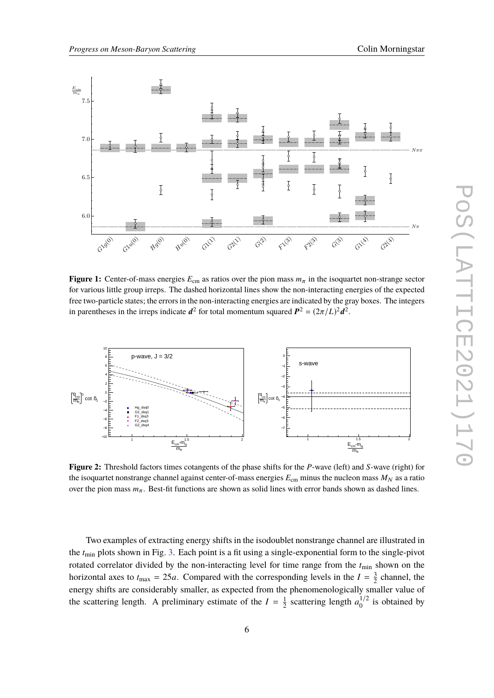<span id="page-5-0"></span>

**Figure 1:** Center-of-mass energies  $E_{cm}$  as ratios over the pion mass  $m<sub>\pi</sub>$  in the isoquartet non-strange sector for various little group irreps. The dashed horizontal lines show the non-interacting energies of the expected free two-particle states; the errors in the non-interacting energies are indicated by the gray boxes. The integers in parentheses in the irreps indicate  $d^2$  for total momentum squared  $P^2 = (2\pi/L)^2 d^2$ .

<span id="page-5-1"></span>

**Figure 2:** Threshold factors times cotangents of the phase shifts for the *P*-wave (left) and *S*-wave (right) for the isoquartet nonstrange channel against center-of-mass energies  $E_{cm}$  minus the nucleon mass  $M_N$  as a ratio over the pion mass  $m_\pi$ . Best-fit functions are shown as solid lines with error bands shown as dashed lines.

Two examples of extracting energy shifts in the isodoublet nonstrange channel are illustrated in the *t*min plots shown in Fig. [3.](#page-6-0) Each point is a fit using a single-exponential form to the single-pivot rotated correlator divided by the non-interacting level for time range from the *t*min shown on the horizontal axes to  $t_{\text{max}} = 25a$ . Compared with the corresponding levels in the  $I = \frac{3}{2}$  $\frac{3}{2}$  channel, the energy shifts are considerably smaller, as expected from the phenomenologically smaller value of the scattering length. A preliminary estimate of the  $I = \frac{1}{2}$  $\frac{1}{2}$  scattering length  $a_0^{1/2}$  is obtained by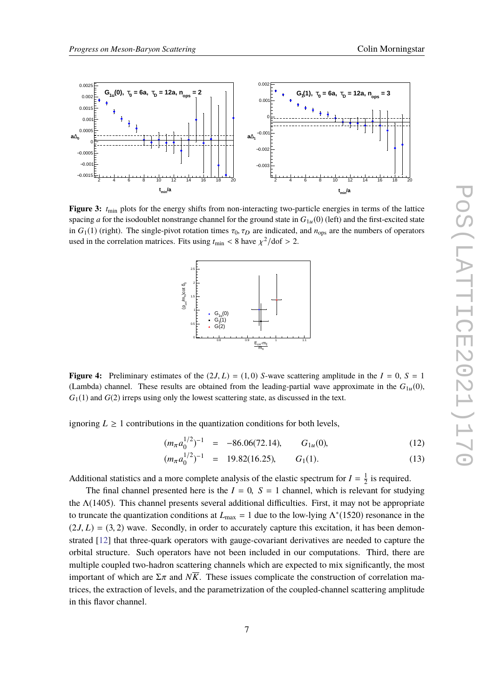<span id="page-6-0"></span>

<span id="page-6-1"></span>**Figure 3:**  $t_{\text{min}}$  plots for the energy shifts from non-interacting two-particle energies in terms of the lattice spacing *a* for the isodoublet nonstrange channel for the ground state in  $G_{1u}(0)$  (left) and the first-excited state in  $G_1(1)$  (right). The single-pivot rotation times  $\tau_0$ ,  $\tau_D$  are indicated, and  $n_{\text{ops}}$  are the numbers of operators used in the correlation matrices. Fits using  $t_{\text{min}} < 8$  have  $\chi^2/\text{dof} > 2$ .



**Figure 4:** Preliminary estimates of the  $(2J, L) = (1, 0)$  *S*-wave scattering amplitude in the  $I = 0$ ,  $S = 1$ (Lambda) channel. These results are obtained from the leading-partial wave approximate in the  $G_{1u}(0)$ ,  $G_1(1)$  and  $G(2)$  irreps using only the lowest scattering state, as discussed in the text.

ignoring  $L \geq 1$  contributions in the quantization conditions for both levels,

$$
(m_{\pi} a_0^{1/2})^{-1} = -86.06(72.14), \t G_{1u}(0), \t (12)
$$

$$
(m_{\pi} a_0^{1/2})^{-1} = 19.82(16.25), \t G_1(1). \t (13)
$$

Additional statistics and a more complete analysis of the elastic spectrum for  $I = \frac{1}{2}$  $\frac{1}{2}$  is required.

The final channel presented here is the  $I = 0$ ,  $S = 1$  channel, which is relevant for studying the  $\Lambda(1405)$ . This channel presents several additional difficulties. First, it may not be appropriate to truncate the quantization conditions at  $L_{\text{max}} = 1$  due to the low-lying  $\Lambda^*(1520)$  resonance in the  $(2J, L) = (3, 2)$  wave. Secondly, in order to accurately capture this excitation, it has been demonstrated [\[12\]](#page-8-7) that three-quark operators with gauge-covariant derivatives are needed to capture the orbital structure. Such operators have not been included in our computations. Third, there are multiple coupled two-hadron scattering channels which are expected to mix significantly, the most important of which are  $\Sigma \pi$  and  $N\overline{K}$ . These issues complicate the construction of correlation matrices, the extraction of levels, and the parametrization of the coupled-channel scattering amplitude in this flavor channel.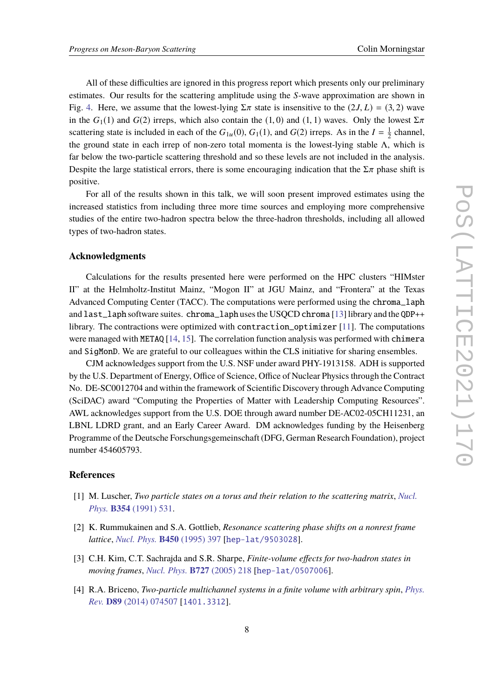All of these difficulties are ignored in this progress report which presents only our preliminary estimates. Our results for the scattering amplitude using the *S*-wave approximation are shown in Fig. [4.](#page-6-1) Here, we assume that the lowest-lying  $\Sigma \pi$  state is insensitive to the (2*J*, *L*) = (3, 2) wave in the  $G_1(1)$  and  $G(2)$  irreps, which also contain the  $(1, 0)$  and  $(1, 1)$  waves. Only the lowest  $\Sigma \pi$ scattering state is included in each of the  $G_{1u}(0)$ ,  $G_1(1)$ , and  $G(2)$  irreps. As in the  $I = \frac{1}{2}$  $\frac{1}{2}$  channel, the ground state in each irrep of non-zero total momenta is the lowest-lying stable  $\Lambda$ , which is far below the two-particle scattering threshold and so these levels are not included in the analysis. Despite the large statistical errors, there is some encouraging indication that the  $\Sigma \pi$  phase shift is positive.

For all of the results shown in this talk, we will soon present improved estimates using the increased statistics from including three more time sources and employing more comprehensive studies of the entire two-hadron spectra below the three-hadron thresholds, including all allowed types of two-hadron states.

#### **Acknowledgments**

Calculations for the results presented here were performed on the HPC clusters "HIMster II" at the Helmholtz-Institut Mainz, "Mogon II" at JGU Mainz, and "Frontera" at the Texas Advanced Computing Center (TACC). The computations were performed using the chroma\_laph and last\_laph software suites. chroma\_laph uses the USQCD chroma [\[13\]](#page-8-8) library and the QDP++ library. The contractions were optimized with contraction\_optimizer [\[11\]](#page-8-6). The computations were managed with METAQ  $[14, 15]$  $[14, 15]$  $[14, 15]$ . The correlation function analysis was performed with chimera and SigMonD. We are grateful to our colleagues within the CLS initiative for sharing ensembles.

CJM acknowledges support from the U.S. NSF under award PHY-1913158. ADH is supported by the U.S. Department of Energy, Office of Science, Office of Nuclear Physics through the Contract No. DE-SC0012704 and within the framework of Scientific Discovery through Advance Computing (SciDAC) award "Computing the Properties of Matter with Leadership Computing Resources". AWL acknowledges support from the U.S. DOE through award number DE-AC02-05CH11231, an LBNL LDRD grant, and an Early Career Award. DM acknowledges funding by the Heisenberg Programme of the Deutsche Forschungsgemeinschaft (DFG, German Research Foundation), project number 454605793.

### **References**

- <span id="page-7-0"></span>[1] M. Luscher, *Two particle states on a torus and their relation to the scattering matrix*, *[Nucl.](https://doi.org/10.1016/0550-3213(91)90366-6) Phys.* **B354** [\(1991\) 531.](https://doi.org/10.1016/0550-3213(91)90366-6)
- [2] K. Rummukainen and S.A. Gottlieb, *Resonance scattering phase shifts on a nonrest frame lattice*, *[Nucl. Phys.](https://doi.org/10.1016/0550-3213(95)00313-H)* **B450** (1995) 397 [[hep-lat/9503028](https://arxiv.org/abs/hep-lat/9503028)].
- [3] C.H. Kim, C.T. Sachrajda and S.R. Sharpe, *Finite-volume effects for two-hadron states in moving frames*, *[Nucl. Phys.](https://doi.org/10.1016/j.nuclphysb.2005.08.029)* **B727** (2005) 218 [[hep-lat/0507006](https://arxiv.org/abs/hep-lat/0507006)].
- <span id="page-7-1"></span>[4] R.A. Briceno, *Two-particle multichannel systems in a finite volume with arbitrary spin*, *[Phys.](https://doi.org/10.1103/PhysRevD.89.074507) Rev.* **D89** [\(2014\) 074507](https://doi.org/10.1103/PhysRevD.89.074507) [[1401.3312](https://arxiv.org/abs/1401.3312)].